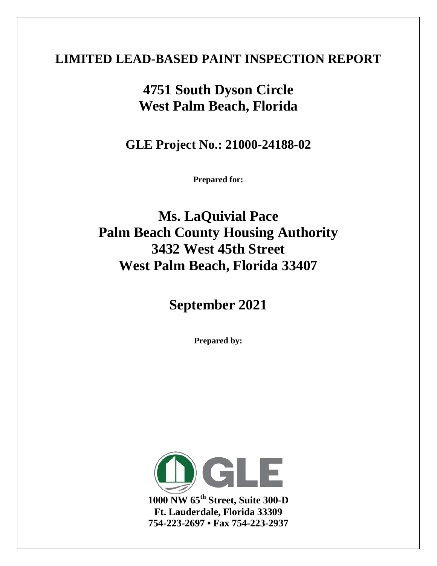### **LIMITED LEAD-BASED PAINT INSPECTION REPORT**

# **4751 South Dyson Circle West Palm Beach, Florida**

**GLE Project No.: 21000-24188-02**

**Prepared for:**

**Ms. LaQuivial Pace Palm Beach County Housing Authority 3432 West 45th Street West Palm Beach, Florida 33407**

# **September 2021**

**Prepared by:**



**1000 NW 65th Street, Suite 300-D Ft. Lauderdale, Florida 33309 754-223-2697 • Fax 754-223-2937**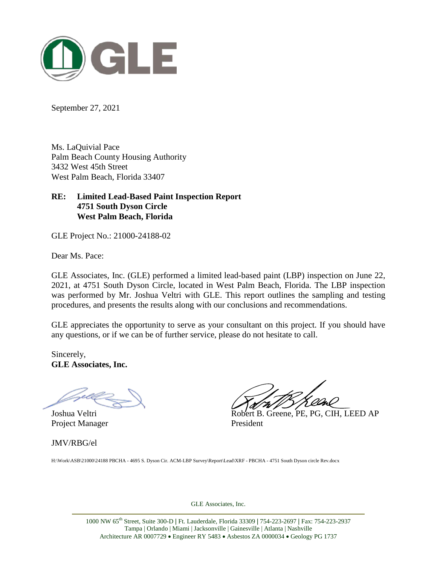

September 27, 2021

Ms. LaQuivial Pace Palm Beach County Housing Authority 3432 West 45th Street West Palm Beach, Florida 33407

#### **RE: Limited Lead-Based Paint Inspection Report 4751 South Dyson Circle West Palm Beach, Florida**

GLE Project No.: 21000-24188-02

Dear Ms. Pace:

GLE Associates, Inc. (GLE) performed a limited lead-based paint (LBP) inspection on June 22, 2021, at 4751 South Dyson Circle, located in West Palm Beach, Florida. The LBP inspection was performed by Mr. Joshua Veltri with GLE. This report outlines the sampling and testing procedures, and presents the results along with our conclusions and recommendations.

GLE appreciates the opportunity to serve as your consultant on this project. If you should have any questions, or if we can be of further service, please do not hesitate to call.

Sincerely, **GLE Associates, Inc.**

Project Manager President

JMV/RBG/el

Joshua Veltri Robert B. Greene, PE, PG, CIH, LEED AP

H:\Work\ASB\21000\24188 PBCHA - 4695 S. Dyson Cir. ACM-LBP Survey\Report\Lead\XRF - PBCHA - 4751 South Dyson circle Rev.docx

GLE Associates, Inc.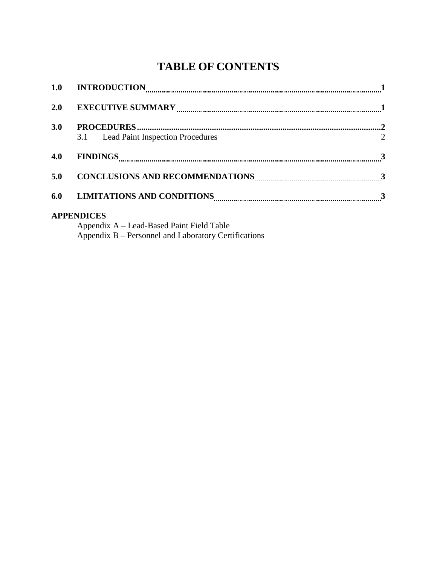## **TABLE OF CONTENTS**

| 2.0 |                                                                       |  |
|-----|-----------------------------------------------------------------------|--|
| 3.0 |                                                                       |  |
|     | 3.1 Lead Paint Inspection Procedures 22                               |  |
| 4.0 | $FINDINGS$ 3                                                          |  |
| 5.0 |                                                                       |  |
|     | 6.0 LIMITATIONS AND CONDITIONS ELECTRIC MANUSCRIPTIONS AND CONDITIONS |  |
|     | <b>APPENDICES</b>                                                     |  |

Appendix A – Lead-Based Paint Field Table Appendix B – Personnel and Laboratory Certifications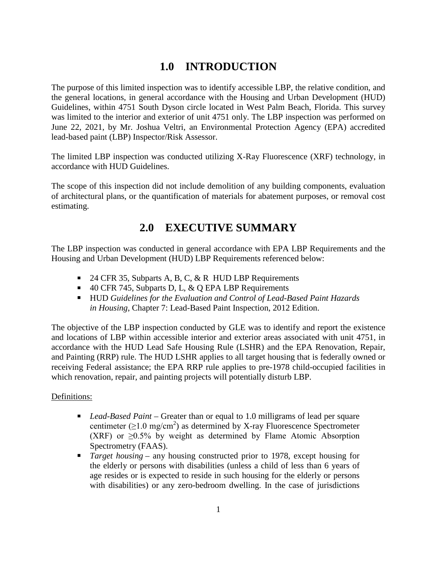#### **1.0 INTRODUCTION**

The purpose of this limited inspection was to identify accessible LBP, the relative condition, and the general locations, in general accordance with the Housing and Urban Development (HUD) Guidelines, within 4751 South Dyson circle located in West Palm Beach, Florida. This survey was limited to the interior and exterior of unit 4751 only. The LBP inspection was performed on June 22, 2021, by Mr. Joshua Veltri, an Environmental Protection Agency (EPA) accredited lead-based paint (LBP) Inspector/Risk Assessor.

The limited LBP inspection was conducted utilizing X-Ray Fluorescence (XRF) technology, in accordance with HUD Guidelines.

The scope of this inspection did not include demolition of any building components, evaluation of architectural plans, or the quantification of materials for abatement purposes, or removal cost estimating.

#### **2.0 EXECUTIVE SUMMARY**

The LBP inspection was conducted in general accordance with EPA LBP Requirements and the Housing and Urban Development (HUD) LBP Requirements referenced below:

- $\blacksquare$  24 CFR 35, Subparts A, B, C, & R HUD LBP Requirements
- $\blacksquare$  40 CFR 745, Subparts D, L, & Q EPA LBP Requirements
- HUD *Guidelines for the Evaluation and Control of Lead-Based Paint Hazards in Housing*, Chapter 7: Lead-Based Paint Inspection, 2012 Edition.

The objective of the LBP inspection conducted by GLE was to identify and report the existence and locations of LBP within accessible interior and exterior areas associated with unit 4751, in accordance with the HUD Lead Safe Housing Rule (LSHR) and the EPA Renovation, Repair, and Painting (RRP) rule. The HUD LSHR applies to all target housing that is federally owned or receiving Federal assistance; the EPA RRP rule applies to pre-1978 child-occupied facilities in which renovation, repair, and painting projects will potentially disturb LBP.

#### Definitions:

- *Lead-Based Paint* Greater than or equal to 1.0 milligrams of lead per square centimeter  $(\geq 1.0 \text{ mg/cm}^2)$  as determined by X-ray Fluorescence Spectrometer (XRF) or ≥0.5% by weight as determined by Flame Atomic Absorption Spectrometry (FAAS).
- *Target housing* any housing constructed prior to 1978, except housing for the elderly or persons with disabilities (unless a child of less than 6 years of age resides or is expected to reside in such housing for the elderly or persons with disabilities) or any zero-bedroom dwelling. In the case of jurisdictions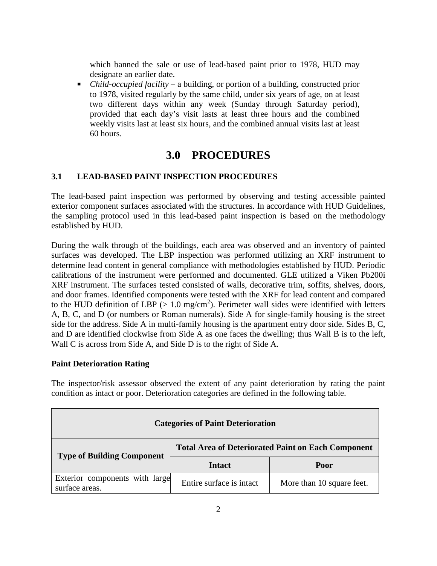which banned the sale or use of lead-based paint prior to 1978, HUD may designate an earlier date.

 *Child-occupied facility* – a building, or portion of a building, constructed prior to 1978, visited regularly by the same child, under six years of age, on at least two different days within any week (Sunday through Saturday period), provided that each day's visit lasts at least three hours and the combined weekly visits last at least six hours, and the combined annual visits last at least 60 hours.

#### **3.0 PROCEDURES**

#### **3.1 LEAD-BASED PAINT INSPECTION PROCEDURES**

The lead-based paint inspection was performed by observing and testing accessible painted exterior component surfaces associated with the structures. In accordance with HUD Guidelines, the sampling protocol used in this lead-based paint inspection is based on the methodology established by HUD.

During the walk through of the buildings, each area was observed and an inventory of painted surfaces was developed. The LBP inspection was performed utilizing an XRF instrument to determine lead content in general compliance with methodologies established by HUD. Periodic calibrations of the instrument were performed and documented. GLE utilized a Viken Pb200i XRF instrument. The surfaces tested consisted of walls, decorative trim, soffits, shelves, doors, and door frames. Identified components were tested with the XRF for lead content and compared to the HUD definition of LBP  $(> 1.0 \text{ mg/cm}^2)$ . Perimeter wall sides were identified with letters A, B, C, and D (or numbers or Roman numerals). Side A for single-family housing is the street side for the address. Side A in multi-family housing is the apartment entry door side. Sides B, C, and D are identified clockwise from Side A as one faces the dwelling; thus Wall B is to the left, Wall C is across from Side A, and Side D is to the right of Side A.

#### **Paint Deterioration Rating**

The inspector/risk assessor observed the extent of any paint deterioration by rating the paint condition as intact or poor. Deterioration categories are defined in the following table.

| <b>Categories of Paint Deterioration</b>         |                                                           |                           |  |
|--------------------------------------------------|-----------------------------------------------------------|---------------------------|--|
| <b>Type of Building Component</b>                | <b>Total Area of Deteriorated Paint on Each Component</b> |                           |  |
|                                                  | <b>Intact</b>                                             | Poor                      |  |
| Exterior components with large<br>surface areas. | Entire surface is intact                                  | More than 10 square feet. |  |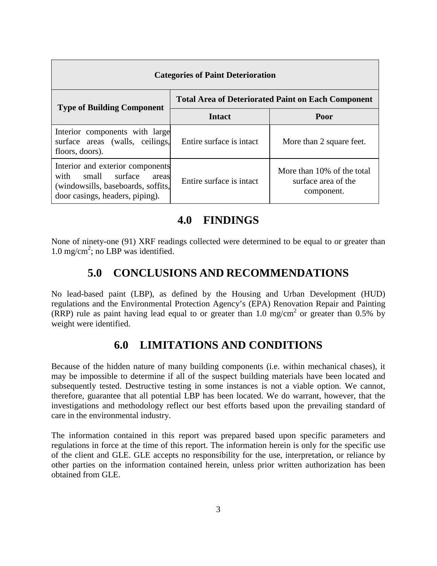| <b>Categories of Paint Deterioration</b>                                                                                                       |                                                           |                                                                 |  |
|------------------------------------------------------------------------------------------------------------------------------------------------|-----------------------------------------------------------|-----------------------------------------------------------------|--|
| <b>Type of Building Component</b>                                                                                                              | <b>Total Area of Deteriorated Paint on Each Component</b> |                                                                 |  |
|                                                                                                                                                | <b>Intact</b>                                             | Poor                                                            |  |
| Interior components with large<br>surface areas (walls, ceilings,<br>floors, doors).                                                           | Entire surface is intact.                                 | More than 2 square feet.                                        |  |
| Interior and exterior components<br>with<br>surface<br>small<br>areas<br>(windowsills, baseboards, soffits,<br>door casings, headers, piping). | Entire surface is intact                                  | More than 10% of the total<br>surface area of the<br>component. |  |

#### **4.0 FINDINGS**

None of ninety-one (91) XRF readings collected were determined to be equal to or greater than 1.0 mg/cm<sup>2</sup>; no LBP was identified.

#### **5.0 CONCLUSIONS AND RECOMMENDATIONS**

No lead-based paint (LBP), as defined by the Housing and Urban Development (HUD) regulations and the Environmental Protection Agency's (EPA) Renovation Repair and Painting (RRP) rule as paint having lead equal to or greater than 1.0 mg/cm<sup>2</sup> or greater than 0.5% by weight were identified.

#### **6.0 LIMITATIONS AND CONDITIONS**

Because of the hidden nature of many building components (i.e. within mechanical chases), it may be impossible to determine if all of the suspect building materials have been located and subsequently tested. Destructive testing in some instances is not a viable option. We cannot, therefore, guarantee that all potential LBP has been located. We do warrant, however, that the investigations and methodology reflect our best efforts based upon the prevailing standard of care in the environmental industry.

The information contained in this report was prepared based upon specific parameters and regulations in force at the time of this report. The information herein is only for the specific use of the client and GLE. GLE accepts no responsibility for the use, interpretation, or reliance by other parties on the information contained herein, unless prior written authorization has been obtained from GLE.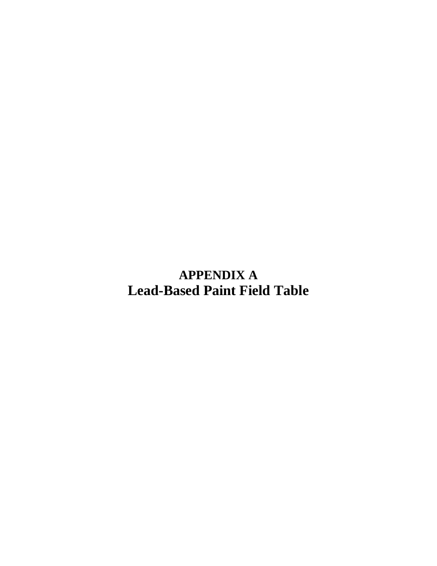**APPENDIX A Lead-Based Paint Field Table**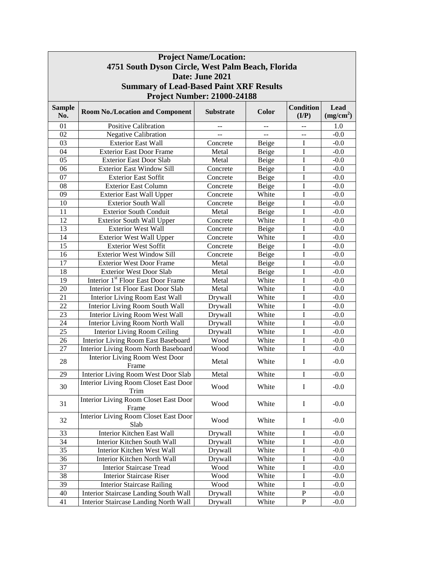| <b>Project Name/Location:</b><br>4751 South Dyson Circle, West Palm Beach, Florida |                                                       |                                    |       |                           |                               |
|------------------------------------------------------------------------------------|-------------------------------------------------------|------------------------------------|-------|---------------------------|-------------------------------|
|                                                                                    |                                                       |                                    |       |                           |                               |
|                                                                                    |                                                       | Date: June 2021                    |       |                           |                               |
|                                                                                    | <b>Summary of Lead-Based Paint XRF Results</b>        |                                    |       |                           |                               |
|                                                                                    |                                                       | <b>Project Number: 21000-24188</b> |       |                           |                               |
| <b>Sample</b><br>No.                                                               | <b>Room No./Location and Component</b>                | <b>Substrate</b>                   | Color | <b>Condition</b><br>(I/P) | Lead<br>(mg/cm <sup>2</sup> ) |
| 01                                                                                 | <b>Positive Calibration</b>                           |                                    |       |                           | 1.0                           |
| 02                                                                                 | <b>Negative Calibration</b>                           | $\sim$                             | $-$   | --                        | $-0.0$                        |
| 03                                                                                 | <b>Exterior East Wall</b>                             | Concrete                           | Beige | Ι                         | $-0.0$                        |
| 04                                                                                 | <b>Exterior East Door Frame</b>                       | Metal                              | Beige | I                         | $-0.0$                        |
| 05                                                                                 | <b>Exterior East Door Slab</b>                        | Metal                              | Beige | I                         | $-0.0$                        |
| 06                                                                                 | <b>Exterior East Window Sill</b>                      | Concrete                           | Beige | I                         | $-0.0$                        |
| 07                                                                                 | <b>Exterior East Soffit</b>                           | Concrete                           | Beige | I                         | $-0.0$                        |
| 08                                                                                 | <b>Exterior East Column</b>                           | Concrete                           | Beige | I                         | $-0.0$                        |
| 09                                                                                 | <b>Exterior East Wall Upper</b>                       | Concrete                           | White | I                         | $-0.0$                        |
| 10                                                                                 | <b>Exterior South Wall</b>                            | Concrete                           | Beige | I                         | $-0.0$                        |
| 11                                                                                 | <b>Exterior South Conduit</b>                         | Metal                              | Beige | I                         | $-0.0$                        |
| 12                                                                                 | <b>Exterior South Wall Upper</b>                      | Concrete                           | White | I                         | $-0.0$                        |
| 13                                                                                 | <b>Exterior West Wall</b>                             | Concrete                           | Beige | I                         | $-0.0$                        |
| 14                                                                                 | <b>Exterior West Wall Upper</b>                       | Concrete                           | White | I                         | $-0.0$                        |
| 15                                                                                 | <b>Exterior West Soffit</b>                           | Concrete                           | Beige | I                         | $-0.0$                        |
| 16                                                                                 | <b>Exterior West Window Sill</b>                      | Concrete                           | Beige | I                         | $-0.0$                        |
| 17                                                                                 | <b>Exterior West Door Frame</b>                       | Metal                              | Beige | I                         | $-0.0$                        |
| 18                                                                                 | <b>Exterior West Door Slab</b>                        | Metal                              | Beige | I                         | $-0.0$                        |
| 19                                                                                 | Interior 1 <sup>st</sup> Floor East Door Frame        | Metal                              | White | I                         | $-0.0$                        |
| 20                                                                                 | Interior 1st Floor East Door Slab                     | Metal                              | White | I                         | $-0.0$                        |
| 21                                                                                 | <b>Interior Living Room East Wall</b>                 | Drywall                            | White | I                         | $-0.0$                        |
| 22                                                                                 | Interior Living Room South Wall                       | Drywall                            | White | I                         | $-0.0$                        |
| 23                                                                                 | Interior Living Room West Wall                        | Drywall                            | White | I                         | $-0.0$                        |
| 24                                                                                 | Interior Living Room North Wall                       | Drywall                            | White | I                         | $-0.0$                        |
| 25                                                                                 | Interior Living Room Ceiling                          | Drywall                            | White | I                         | $-0.0$                        |
| 26                                                                                 | <b>Interior Living Room East Baseboard</b>            | Wood                               | White | I                         | $-0.0$                        |
| 27                                                                                 | <b>Interior Living Room North Baseboard</b>           | Wood                               | White | I                         | $-0.0$                        |
| 28                                                                                 | Interior Living Room West Door                        | Metal                              | White | I                         | $-0.0$                        |
| 29                                                                                 | Frame<br>Interior Living Room West Door Slab          | Metal                              | White | I                         | $-0.0$                        |
| 30                                                                                 | <b>Interior Living Room Closet East Door</b>          | Wood                               | White | I                         | $-0.0$                        |
| 31                                                                                 | Trim<br><b>Interior Living Room Closet East Door</b>  | Wood                               | White | I                         | $-0.0$                        |
|                                                                                    | Frame<br><b>Interior Living Room Closet East Door</b> |                                    |       |                           |                               |
| 32<br>33                                                                           | Slab<br>Interior Kitchen East Wall                    | Wood                               | White | I                         | $-0.0$                        |
| 34                                                                                 |                                                       | Drywall                            | White | I                         | $-0.0$                        |
|                                                                                    | Interior Kitchen South Wall                           | Drywall                            | White | Ι                         | $-0.0$                        |
| 35<br>36                                                                           | Interior Kitchen West Wall                            | Drywall                            | White | I                         | $-0.0$                        |
|                                                                                    | Interior Kitchen North Wall                           | Drywall                            | White | I                         | $-0.0$                        |
| 37                                                                                 | <b>Interior Staircase Tread</b>                       | Wood                               | White | I                         | $-0.0$                        |
| 38                                                                                 | <b>Interior Staircase Riser</b>                       | Wood                               | White | I                         | $-0.0$                        |
| 39                                                                                 | <b>Interior Staircase Railing</b>                     | Wood                               | White | I                         | $-0.0$                        |
| 40                                                                                 | Interior Staircase Landing South Wall                 | Drywall                            | White | ${\bf P}$                 | $-0.0$                        |
| 41                                                                                 | Interior Staircase Landing North Wall                 | Drywall                            | White | ${\bf P}$                 | $-0.0$                        |

┓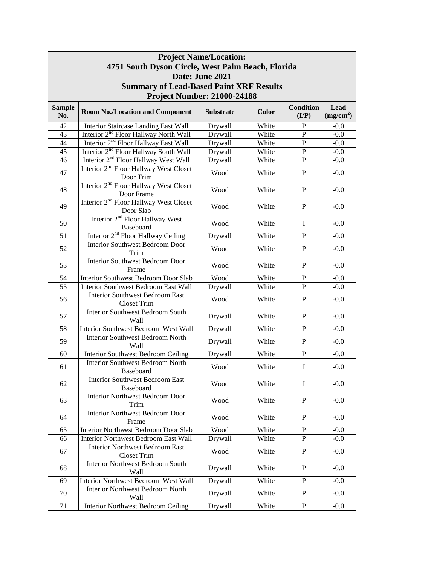| <b>Project Name/Location:</b>                     |                                                                  |                  |       |                  |                       |  |  |
|---------------------------------------------------|------------------------------------------------------------------|------------------|-------|------------------|-----------------------|--|--|
| 4751 South Dyson Circle, West Palm Beach, Florida |                                                                  |                  |       |                  |                       |  |  |
|                                                   | Date: June 2021                                                  |                  |       |                  |                       |  |  |
|                                                   | <b>Summary of Lead-Based Paint XRF Results</b>                   |                  |       |                  |                       |  |  |
|                                                   |                                                                  |                  |       |                  |                       |  |  |
|                                                   | <b>Project Number: 21000-24188</b>                               |                  |       |                  |                       |  |  |
| <b>Sample</b>                                     | <b>Room No./Location and Component</b>                           | <b>Substrate</b> | Color | <b>Condition</b> | Lead                  |  |  |
| No.                                               |                                                                  |                  |       | (I/P)            | (mg/cm <sup>2</sup> ) |  |  |
| 42                                                | Interior Staircase Landing East Wall                             | Drywall          | White | P                | $-0.0$                |  |  |
| 43                                                | Interior 2 <sup>nd</sup> Floor Hallway North Wall                | Drywall          | White | $\mathbf{P}$     | $-0.0$                |  |  |
| 44                                                | Interior 2 <sup>nd</sup> Floor Hallway East Wall                 | Drywall          | White | $\mathbf P$      | $-0.0$                |  |  |
| 45                                                | Interior 2 <sup>nd</sup> Floor Hallway South Wall                | Drywall          | White | P                | $-0.0$                |  |  |
| 46                                                | Interior 2 <sup>nd</sup> Floor Hallway West Wall                 | Drywall          | White | P                | $-0.0$                |  |  |
| 47                                                | Interior 2 <sup>nd</sup> Floor Hallway West Closet<br>Door Trim  | Wood             | White | P                | $-0.0$                |  |  |
| 48                                                | Interior 2 <sup>nd</sup> Floor Hallway West Closet<br>Door Frame | Wood             | White | P                | $-0.0$                |  |  |
| 49                                                | Interior 2 <sup>nd</sup> Floor Hallway West Closet<br>Door Slab  | Wood             | White | P                | $-0.0$                |  |  |
| 50                                                | Interior 2 <sup>nd</sup> Floor Hallway West<br>Baseboard         | Wood             | White | Ι                | $-0.0$                |  |  |
| 51                                                | Interior 2 <sup>nd</sup> Floor Hallway Ceiling                   | Drywall          | White | $\mathbf{P}$     | $-0.0$                |  |  |
| 52                                                | <b>Interior Southwest Bedroom Door</b><br>Trim                   | Wood             | White | $\mathbf{P}$     | $-0.0$                |  |  |
| 53                                                | <b>Interior Southwest Bedroom Door</b><br>Frame                  | Wood             | White | P                | $-0.0$                |  |  |
| 54                                                | Interior Southwest Bedroom Door Slab                             | Wood             | White | ${\bf P}$        | $-0.0$                |  |  |
| 55                                                | Interior Southwest Bedroom East Wall                             | Drywall          | White | $\mathbf P$      | $-0.0$                |  |  |
| 56                                                | <b>Interior Southwest Bedroom East</b><br><b>Closet Trim</b>     | Wood             | White | $\mathbf P$      | $-0.0$                |  |  |
| 57                                                | <b>Interior Southwest Bedroom South</b><br>Wall                  | Drywall          | White | P                | $-0.0$                |  |  |
| 58                                                | Interior Southwest Bedroom West Wall                             | Drywall          | White | P                | $-0.0$                |  |  |
| 59                                                | <b>Interior Southwest Bedroom North</b><br>Wall                  | Drywall          | White | P                | $-0.0$                |  |  |
| 60                                                | <b>Interior Southwest Bedroom Ceiling</b>                        | Drywall          | White | $\mathbf P$      | $-0.0$                |  |  |
| 61                                                | <b>Interior Southwest Bedroom North</b><br>Baseboard             | Wood             | White | I                | $-0.0$                |  |  |
| 62                                                | <b>Interior Southwest Bedroom East</b><br>Baseboard              | Wood             | White | $\bf{I}$         | $-0.0$                |  |  |
| 63                                                | <b>Interior Northwest Bedroom Door</b><br>Trim                   | Wood             | White | $\mathbf{P}$     | $-0.0$                |  |  |
| 64                                                | <b>Interior Northwest Bedroom Door</b><br>Frame                  | Wood             | White | $\mathbf{P}$     | $-0.0$                |  |  |
| 65                                                | Interior Northwest Bedroom Door Slab                             | Wood             | White | ${\bf P}$        | $-0.0$                |  |  |
| 66                                                | Interior Northwest Bedroom East Wall                             | Drywall          | White | P                | $-0.0$                |  |  |
| 67                                                | <b>Interior Northwest Bedroom East</b><br><b>Closet Trim</b>     | Wood             | White | $\mathbf{P}$     | $-0.0$                |  |  |
| 68                                                | <b>Interior Northwest Bedroom South</b><br>Wall                  | Drywall          | White | $\mathbf{P}$     | $-0.0$                |  |  |
| 69                                                | Interior Northwest Bedroom West Wall                             | Drywall          | White | ${\bf P}$        | $-0.0$                |  |  |
| 70                                                | <b>Interior Northwest Bedroom North</b><br>Wall                  | Drywall          | White | P                | $-0.0$                |  |  |
| 71                                                | <b>Interior Northwest Bedroom Ceiling</b>                        | Drywall          | White | $\, {\bf P}$     | $-0.0$                |  |  |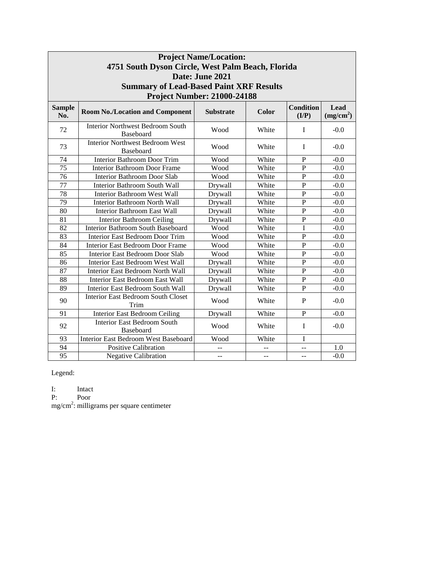| <b>Project Name/Location:</b> |                                                      |                                    |       |                           |                               |
|-------------------------------|------------------------------------------------------|------------------------------------|-------|---------------------------|-------------------------------|
|                               | 4751 South Dyson Circle, West Palm Beach, Florida    |                                    |       |                           |                               |
|                               |                                                      | Date: June 2021                    |       |                           |                               |
|                               | <b>Summary of Lead-Based Paint XRF Results</b>       |                                    |       |                           |                               |
|                               |                                                      | <b>Project Number: 21000-24188</b> |       |                           |                               |
| <b>Sample</b><br>No.          | <b>Room No./Location and Component</b>               | <b>Substrate</b>                   | Color | <b>Condition</b><br>(I/P) | Lead<br>(mg/cm <sup>2</sup> ) |
| 72                            | <b>Interior Northwest Bedroom South</b><br>Baseboard | Wood                               | White | $\mathbf I$               | $-0.0$                        |
| 73                            | <b>Interior Northwest Bedroom West</b><br>Baseboard  | Wood                               | White | I                         | $-0.0$                        |
| 74                            | <b>Interior Bathroom Door Trim</b>                   | Wood                               | White | P                         | $-0.0$                        |
| $\overline{75}$               | <b>Interior Bathroom Door Frame</b>                  | Wood                               | White | $\mathbf P$               | $-0.0$                        |
| 76                            | <b>Interior Bathroom Door Slab</b>                   | Wood                               | White | $\mathbf P$               | $-0.0$                        |
| 77                            | <b>Interior Bathroom South Wall</b>                  | Drywall                            | White | $\overline{P}$            | $-0.0$                        |
| $\overline{78}$               | <b>Interior Bathroom West Wall</b>                   | Drywall                            | White | $\mathbf{P}$              | $-0.0$                        |
| 79                            | <b>Interior Bathroom North Wall</b>                  | Drywall                            | White | $\mathbf P$               | $-0.0$                        |
| 80                            | <b>Interior Bathroom East Wall</b>                   | Drywall                            | White | $\mathbf P$               | $-0.0$                        |
| 81                            | <b>Interior Bathroom Ceiling</b>                     | Drywall                            | White | $\mathbf P$               | $-0.0$                        |
| $\overline{82}$               | <b>Interior Bathroom South Baseboard</b>             | Wood                               | White | I                         | $-0.0$                        |
| 83                            | <b>Interior East Bedroom Door Trim</b>               | Wood                               | White | $\overline{P}$            | $-0.0$                        |
| $\overline{84}$               | <b>Interior East Bedroom Door Frame</b>              | Wood                               | White | $\overline{P}$            | $-0.0$                        |
| $\overline{85}$               | <b>Interior East Bedroom Door Slab</b>               | Wood                               | White | $\mathbf{P}$              | $-0.0$                        |
| $\overline{86}$               | <b>Interior East Bedroom West Wall</b>               | Drywall                            | White | $\overline{P}$            | $-0.0$                        |
| 87                            | Interior East Bedroom North Wall                     | Drywall                            | White | $\overline{P}$            | $-0.0$                        |
| 88                            | Interior East Bedroom East Wall                      | Drywall                            | White | $\mathbf P$               | $-0.0$                        |
| 89                            | Interior East Bedroom South Wall                     | Drywall                            | White | $\mathbf P$               | $-0.0$                        |
| 90                            | <b>Interior East Bedroom South Closet</b><br>Trim    | Wood                               | White | $\mathbf{P}$              | $-0.0$                        |
| 91                            | <b>Interior East Bedroom Ceiling</b>                 | Drywall                            | White | $\mathbf P$               | $-0.0$                        |
| 92                            | <b>Interior East Bedroom South</b><br>Baseboard      | Wood                               | White | I                         | $-0.0$                        |
| 93                            | Interior East Bedroom West Baseboard                 | Wood                               | White | I                         |                               |
| 94                            | <b>Positive Calibration</b>                          |                                    |       | --                        | 1.0                           |
| 95                            | <b>Negative Calibration</b>                          | --                                 | --    | $-$                       | $-0.0$                        |

Legend:

I: Intact

P: Poor

mg/cm<sup>2</sup>: milligrams per square centimeter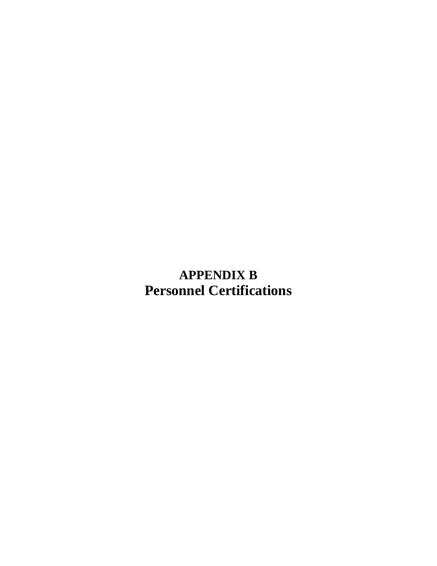**APPENDIX B Personnel Certifications**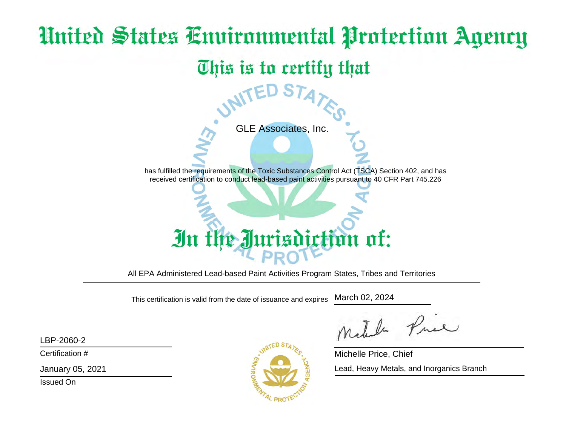# United States Environmental Protection Agency This is to certify that GLE Associates, Inc.has fulfilled the requirements of the Toxic Substances Control Act (TSCA) Section 402, and hasreceived certification to conduct lead-based paint activities pursuant to 40 CFR Part 745.226

1 of: In th

All EPA Administered Lead-based Paint Activities Program States, Tribes and Territories

This certification is valid from the date of issuance and expiresMarch 02, 2024

LBP-2060-2

Certification #

January 05, 2021

Issued On



The Pre

Michelle Price, ChiefLead, Heavy Metals, and Inorganics Branch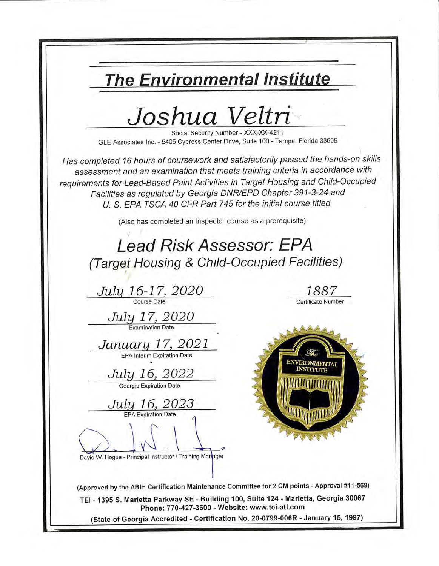